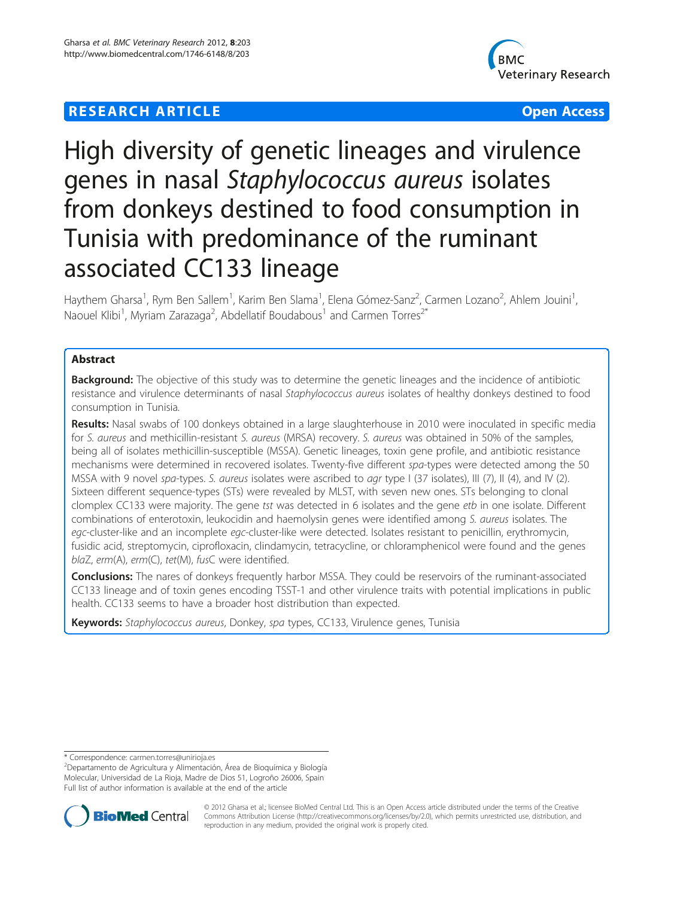## **RESEARCH ARTICLE Example 2018 12:30 THE Open Access**



# High diversity of genetic lineages and virulence genes in nasal Staphylococcus aureus isolates from donkeys destined to food consumption in Tunisia with predominance of the ruminant associated CC133 lineage

Haythem Gharsa<sup>1</sup>, Rym Ben Sallem<sup>1</sup>, Karim Ben Slama<sup>1</sup>, Elena Gómez-Sanz<sup>2</sup>, Carmen Lozano<sup>2</sup>, Ahlem Jouini<sup>1</sup> , Naouel Klibi<sup>1</sup>, Myriam Zarazaga<sup>2</sup>, Abdellatif Boudabous<sup>1</sup> and Carmen Torres<sup>2\*</sup>

## Abstract

**Background:** The objective of this study was to determine the genetic lineages and the incidence of antibiotic resistance and virulence determinants of nasal Staphylococcus aureus isolates of healthy donkeys destined to food consumption in Tunisia.

Results: Nasal swabs of 100 donkeys obtained in a large slaughterhouse in 2010 were inoculated in specific media for S. aureus and methicillin-resistant S. aureus (MRSA) recovery. S. aureus was obtained in 50% of the samples, being all of isolates methicillin-susceptible (MSSA). Genetic lineages, toxin gene profile, and antibiotic resistance mechanisms were determined in recovered isolates. Twenty-five different spa-types were detected among the 50 MSSA with 9 novel spa-types. S. aureus isolates were ascribed to agr type I (37 isolates), III (7), II (4), and IV (2). Sixteen different sequence-types (STs) were revealed by MLST, with seven new ones. STs belonging to clonal clomplex CC133 were majority. The gene tst was detected in 6 isolates and the gene etb in one isolate. Different combinations of enterotoxin, leukocidin and haemolysin genes were identified among S. aureus isolates. The egc-cluster-like and an incomplete egc-cluster-like were detected. Isolates resistant to penicillin, erythromycin, fusidic acid, streptomycin, ciprofloxacin, clindamycin, tetracycline, or chloramphenicol were found and the genes blaZ, erm(A), erm(C), tet(M), fusC were identified.

**Conclusions:** The nares of donkeys frequently harbor MSSA. They could be reservoirs of the ruminant-associated CC133 lineage and of toxin genes encoding TSST-1 and other virulence traits with potential implications in public health. CC133 seems to have a broader host distribution than expected.

Keywords: Staphylococcus aureus, Donkey, spa types, CC133, Virulence genes, Tunisia

Departamento de Agricultura y Alimentación, Área de Bioquímica y Biología Molecular, Universidad de La Rioja, Madre de Dios 51, Logroño 26006, Spain Full list of author information is available at the end of the article



© 2012 Gharsa et al.; licensee BioMed Central Ltd. This is an Open Access article distributed under the terms of the Creative Commons Attribution License [\(http://creativecommons.org/licenses/by/2.0\)](http://creativecommons.org/licenses/by/2.0), which permits unrestricted use, distribution, and reproduction in any medium, provided the original work is properly cited.

<sup>\*</sup> Correspondence: [carmen.torres@unirioja.es](mailto:carmen.torres@unirioja.es) <sup>2</sup>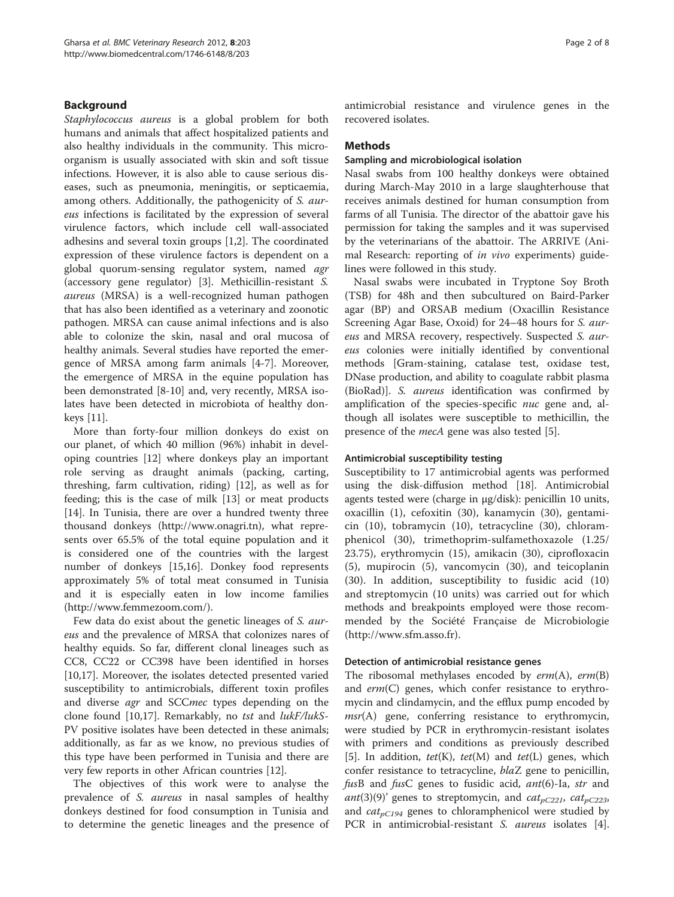## Background

Staphylococcus aureus is a global problem for both humans and animals that affect hospitalized patients and also healthy individuals in the community. This microorganism is usually associated with skin and soft tissue infections. However, it is also able to cause serious diseases, such as pneumonia, meningitis, or septicaemia, among others. Additionally, the pathogenicity of S. aureus infections is facilitated by the expression of several virulence factors, which include cell wall-associated adhesins and several toxin groups [\[1,2](#page-5-0)]. The coordinated expression of these virulence factors is dependent on a global quorum-sensing regulator system, named agr (accessory gene regulator) [[3\]](#page-5-0). Methicillin-resistant S. aureus (MRSA) is a well-recognized human pathogen that has also been identified as a veterinary and zoonotic pathogen. MRSA can cause animal infections and is also able to colonize the skin, nasal and oral mucosa of healthy animals. Several studies have reported the emergence of MRSA among farm animals [[4-7\]](#page-5-0). Moreover, the emergence of MRSA in the equine population has been demonstrated [[8-10](#page-6-0)] and, very recently, MRSA isolates have been detected in microbiota of healthy donkeys [\[11](#page-6-0)].

More than forty-four million donkeys do exist on our planet, of which 40 million (96%) inhabit in developing countries [[12\]](#page-6-0) where donkeys play an important role serving as draught animals (packing, carting, threshing, farm cultivation, riding) [[12](#page-6-0)], as well as for feeding; this is the case of milk [[13](#page-6-0)] or meat products [[14\]](#page-6-0). In Tunisia, there are over a hundred twenty three thousand donkeys (<http://www.onagri.tn>), what represents over 65.5% of the total equine population and it is considered one of the countries with the largest number of donkeys [\[15,16](#page-6-0)]. Donkey food represents approximately 5% of total meat consumed in Tunisia and it is especially eaten in low income families ([http://www.femmezoom.com/\)](http://www.femmezoom.com/).

Few data do exist about the genetic lineages of S. aureus and the prevalence of MRSA that colonizes nares of healthy equids. So far, different clonal lineages such as CC8, CC22 or CC398 have been identified in horses [[10,17\]](#page-6-0). Moreover, the isolates detected presented varied susceptibility to antimicrobials, different toxin profiles and diverse *agr* and SCC*mec* types depending on the clone found [\[10,17\]](#page-6-0). Remarkably, no tst and lukF/lukS-PV positive isolates have been detected in these animals; additionally, as far as we know, no previous studies of this type have been performed in Tunisia and there are very few reports in other African countries [\[12](#page-6-0)].

The objectives of this work were to analyse the prevalence of S. aureus in nasal samples of healthy donkeys destined for food consumption in Tunisia and to determine the genetic lineages and the presence of antimicrobial resistance and virulence genes in the recovered isolates.

## **Methods**

#### Sampling and microbiological isolation

Nasal swabs from 100 healthy donkeys were obtained during March-May 2010 in a large slaughterhouse that receives animals destined for human consumption from farms of all Tunisia. The director of the abattoir gave his permission for taking the samples and it was supervised by the veterinarians of the abattoir. The ARRIVE (Animal Research: reporting of in vivo experiments) guidelines were followed in this study.

Nasal swabs were incubated in Tryptone Soy Broth (TSB) for 48h and then subcultured on Baird-Parker agar (BP) and ORSAB medium (Oxacillin Resistance Screening Agar Base, Oxoid) for 24–48 hours for S. aureus and MRSA recovery, respectively. Suspected S. aureus colonies were initially identified by conventional methods [Gram-staining, catalase test, oxidase test, DNase production, and ability to coagulate rabbit plasma (BioRad)]. S. aureus identification was confirmed by amplification of the species-specific *nuc* gene and, although all isolates were susceptible to methicillin, the presence of the *mecA* gene was also tested [[5](#page-5-0)].

## Antimicrobial susceptibility testing

Susceptibility to 17 antimicrobial agents was performed using the disk-diffusion method [\[18](#page-6-0)]. Antimicrobial agents tested were (charge in μg/disk): penicillin 10 units, oxacillin (1), cefoxitin (30), kanamycin (30), gentamicin (10), tobramycin (10), tetracycline (30), chloramphenicol (30), trimethoprim-sulfamethoxazole (1.25/ 23.75), erythromycin (15), amikacin (30), ciprofloxacin (5), mupirocin (5), vancomycin (30), and teicoplanin (30). In addition, susceptibility to fusidic acid (10) and streptomycin (10 units) was carried out for which methods and breakpoints employed were those recommended by the Société Française de Microbiologie ([http://www.sfm.asso.fr\)](http://www.sfm.asso.fr).

#### Detection of antimicrobial resistance genes

The ribosomal methylases encoded by  $erm(A)$ ,  $erm(B)$ and  $erm(C)$  genes, which confer resistance to erythromycin and clindamycin, and the efflux pump encoded by  $msr(A)$  gene, conferring resistance to erythromycin, were studied by PCR in erythromycin-resistant isolates with primers and conditions as previously described [[5\]](#page-5-0). In addition,  $tet(K)$ ,  $tet(M)$  and  $tet(L)$  genes, which confer resistance to tetracycline, blaZ gene to penicillin, fusB and fusC genes to fusidic acid, ant(6)-Ia, str and ant(3)(9)' genes to streptomycin, and  $cat_{pC221}$ ,  $cat_{pC223}$ , and  $cat_{pC194}$  genes to chloramphenicol were studied by PCR in antimicrobial-resistant S. aureus isolates [\[4](#page-5-0)].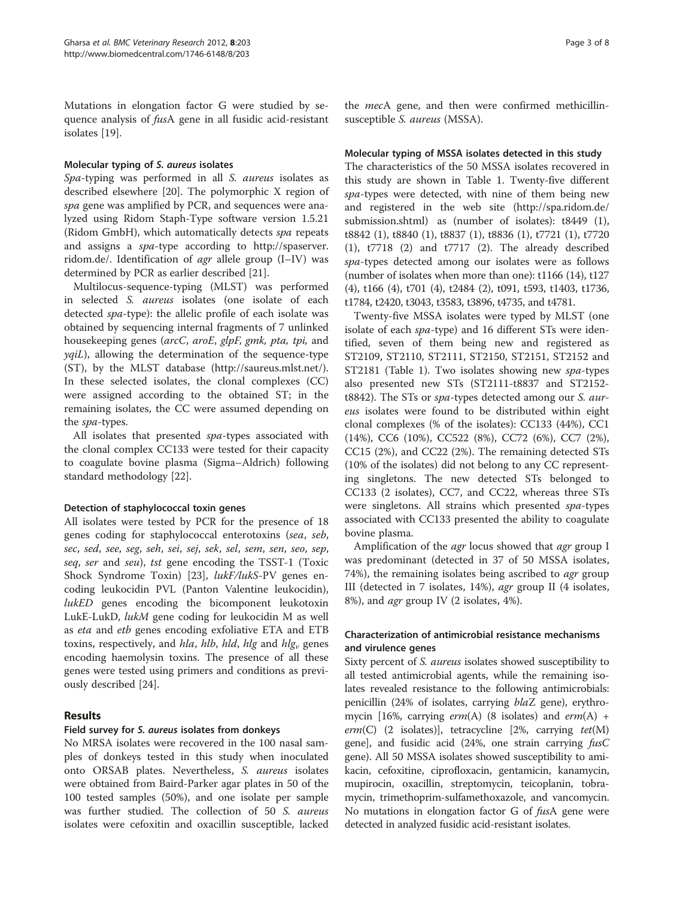Mutations in elongation factor G were studied by sequence analysis of fusA gene in all fusidic acid-resistant isolates [[19](#page-6-0)].

## Molecular typing of S. aureus isolates

Spa-typing was performed in all S. aureus isolates as described elsewhere [[20](#page-6-0)]. The polymorphic X region of spa gene was amplified by PCR, and sequences were analyzed using Ridom Staph-Type software version 1.5.21 (Ridom GmbH), which automatically detects spa repeats and assigns a spa-type according to [http://spaserver.](http://spaserver.ridom.de/) [ridom.de/.](http://spaserver.ridom.de/) Identification of agr allele group (I–IV) was determined by PCR as earlier described [[21\]](#page-6-0).

Multilocus-sequence-typing (MLST) was performed in selected S. aureus isolates (one isolate of each detected spa-type): the allelic profile of each isolate was obtained by sequencing internal fragments of 7 unlinked housekeeping genes (arcC, aroE, glpF, gmk, pta, tpi, and  $yqil$ , allowing the determination of the sequence-type (ST), by the MLST database (<http://saureus.mlst.net/>). In these selected isolates, the clonal complexes (CC) were assigned according to the obtained ST; in the remaining isolates, the CC were assumed depending on the spa-types.

All isolates that presented spa-types associated with the clonal complex CC133 were tested for their capacity to coagulate bovine plasma (Sigma–Aldrich) following standard methodology [\[22](#page-6-0)].

## Detection of staphylococcal toxin genes

All isolates were tested by PCR for the presence of 18 genes coding for staphylococcal enterotoxins (sea, seb, sec, sed, see, seg, seh, sei, sej, sek, sel, sem, sen, seo, sep, seq, ser and seu), tst gene encoding the TSST-1 (Toxic Shock Syndrome Toxin) [[23\]](#page-6-0), lukF/lukS-PV genes encoding leukocidin PVL (Panton Valentine leukocidin), lukED genes encoding the bicomponent leukotoxin LukE-LukD, lukM gene coding for leukocidin M as well as eta and etb genes encoding exfoliative ETA and ETB toxins, respectively, and hla, hlb, hld, hlg and hlg<sub>v</sub> genes encoding haemolysin toxins. The presence of all these genes were tested using primers and conditions as previously described [[24](#page-6-0)].

## Results

## Field survey for S. aureus isolates from donkeys

No MRSA isolates were recovered in the 100 nasal samples of donkeys tested in this study when inoculated onto ORSAB plates. Nevertheless, S. aureus isolates were obtained from Baird-Parker agar plates in 50 of the 100 tested samples (50%), and one isolate per sample was further studied. The collection of 50 S. aureus isolates were cefoxitin and oxacillin susceptible, lacked

the mecA gene, and then were confirmed methicillinsusceptible S. aureus (MSSA).

## Molecular typing of MSSA isolates detected in this study

The characteristics of the 50 MSSA isolates recovered in this study are shown in Table [1.](#page-3-0) Twenty-five different spa-types were detected, with nine of them being new and registered in the web site ([http://spa.ridom.de/](http://spa.ridom.de/submission.shtml) [submission.shtml](http://spa.ridom.de/submission.shtml)) as (number of isolates): t8449 (1), t8842 (1), t8840 (1), t8837 (1), t8836 (1), t7721 (1), t7720 (1), t7718 (2) and t7717 (2). The already described spa-types detected among our isolates were as follows (number of isolates when more than one): t1166 (14), t127 (4), t166 (4), t701 (4), t2484 (2), t091, t593, t1403, t1736, t1784, t2420, t3043, t3583, t3896, t4735, and t4781.

Twenty-five MSSA isolates were typed by MLST (one isolate of each spa-type) and 16 different STs were identified, seven of them being new and registered as ST2109, ST2110, ST2111, ST2150, ST2151, ST2152 and ST2181 (Table [1\)](#page-3-0). Two isolates showing new spa-types also presented new STs (ST2111-t8837 and ST2152 t8842). The STs or *spa-types* detected among our S. aureus isolates were found to be distributed within eight clonal complexes (% of the isolates): CC133 (44%), CC1 (14%), CC6 (10%), CC522 (8%), CC72 (6%), CC7 (2%), CC15 (2%), and CC22 (2%). The remaining detected STs (10% of the isolates) did not belong to any CC representing singletons. The new detected STs belonged to CC133 (2 isolates), CC7, and CC22, whereas three STs were singletons. All strains which presented spa-types associated with CC133 presented the ability to coagulate bovine plasma.

Amplification of the *agr* locus showed that *agr* group I was predominant (detected in 37 of 50 MSSA isolates, 74%), the remaining isolates being ascribed to *agr* group III (detected in 7 isolates, 14%), agr group II (4 isolates, 8%), and agr group IV (2 isolates, 4%).

## Characterization of antimicrobial resistance mechanisms and virulence genes

Sixty percent of S. aureus isolates showed susceptibility to all tested antimicrobial agents, while the remaining isolates revealed resistance to the following antimicrobials: penicillin (24% of isolates, carrying blaZ gene), erythromycin [16%, carrying  $erm(A)$  (8 isolates) and  $erm(A)$  +  $erm(C)$  (2 isolates)], tetracycline [2%, carrying  $tet(M)$ gene], and fusidic acid (24%, one strain carrying fusC gene). All 50 MSSA isolates showed susceptibility to amikacin, cefoxitine, ciprofloxacin, gentamicin, kanamycin, mupirocin, oxacillin, streptomycin, teicoplanin, tobramycin, trimethoprim-sulfamethoxazole, and vancomycin. No mutations in elongation factor G of fusA gene were detected in analyzed fusidic acid-resistant isolates.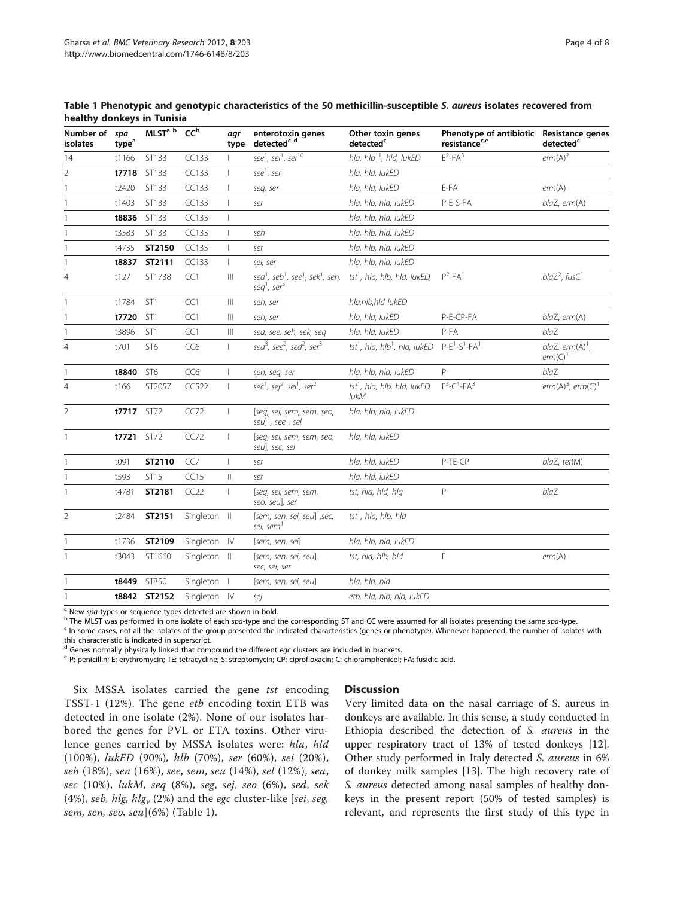<span id="page-3-0"></span>

| Number of<br><b>isolates</b> | spa<br>type <sup>a</sup> | MLST <sup>ab</sup> | CC <sub>p</sub> | agr<br>type                        | enterotoxin genes<br>detected <sup>c d</sup>                                                                            | Other toxin genes<br>detected <sup>c</sup>       | Phenotype of antibiotic Resistance genes<br>resistance <sup>c,e</sup> | detected <sup>c</sup>            |
|------------------------------|--------------------------|--------------------|-----------------|------------------------------------|-------------------------------------------------------------------------------------------------------------------------|--------------------------------------------------|-----------------------------------------------------------------------|----------------------------------|
| 14                           | t1166                    | ST133              | CC133           |                                    | see <sup>1</sup> , sei <sup>1</sup> , ser <sup>10</sup>                                                                 | hla, hlb <sup>11</sup> , hld, lukED              | $F^2$ -FA <sup>3</sup>                                                | erm(A) <sup>2</sup>              |
| $\overline{2}$               | t7718                    | ST133              | CC133           |                                    | see <sup>1</sup> , ser                                                                                                  | hla, hld, lukED                                  |                                                                       |                                  |
| 1                            | t2420                    | ST133              | CC133           |                                    | seq, ser                                                                                                                | hla, hld, lukED                                  | E-FA                                                                  | erm(A)                           |
|                              | t1403                    | ST133              | CC133           |                                    | ser                                                                                                                     | hla, hlb, hld, lukED                             | P-E-S-FA                                                              | blaZ, erm(A)                     |
| 1                            | t8836                    | ST133              | CC133           | -1                                 |                                                                                                                         | hla, hlb, hld, lukED                             |                                                                       |                                  |
|                              | t3583                    | ST133              | CC133           |                                    | seh                                                                                                                     | hla, hlb, hld, lukED                             |                                                                       |                                  |
|                              | t4735                    | ST2150             | CC133           |                                    | ser                                                                                                                     | hla, hlb, hld, lukED                             |                                                                       |                                  |
|                              | t8837                    | ST2111             | CC133           | $\mathbf{I}$                       | sei, ser                                                                                                                | hla, hlb, hld, lukED                             |                                                                       |                                  |
| 4                            | t127                     | ST1738             | CC1             | Ш                                  | sea <sup>1</sup> , seb <sup>1</sup> , see <sup>1</sup> , sek <sup>1</sup> , seh,<br>seq <sup>1</sup> , ser <sup>3</sup> | $tst1$ , hla, hlb, hld, lukED,                   | $P^2 - FA^1$                                                          | $blaZ2$ , fusC <sup>1</sup>      |
|                              | t1784                    | ST <sub>1</sub>    | CC1             | $\ensuremath{\mathsf{III}}\xspace$ | seh, ser                                                                                                                | hla,hlb,hld lukED                                |                                                                       |                                  |
|                              | t7720                    | ST <sub>1</sub>    | CC1             | $\  \ $                            | seh, ser                                                                                                                | hla, hld, lukED                                  | P-E-CP-FA                                                             | blaZ, erm(A)                     |
|                              | t3896                    | ST <sub>1</sub>    | CC1             | $\  \ $                            | sea, see, seh, sek, seg                                                                                                 | hla, hld, lukED                                  | $P-FA$                                                                | blaZ                             |
| $\overline{4}$               | t701                     | ST <sub>6</sub>    | CC <sub>6</sub> |                                    | sea <sup>3</sup> , see <sup>2</sup> , sed <sup>2</sup> , ser <sup>3</sup>                                               | $tst1$ , hla, hlb $1$ , hld, lukED               | $P-E^1-S^1-FA^1$                                                      | blaZ, $erm(A)^1$ ,<br>$erm(C)^1$ |
|                              | t8840                    | ST <sub>6</sub>    | CC <sub>6</sub> | $\mathbf{I}$                       | seh, seg, ser                                                                                                           | hla, hlb, hld, lukED                             | P                                                                     | blaZ                             |
| 4                            | t166                     | ST2057             | CC522           |                                    | sec <sup>1</sup> , sej <sup>2</sup> , sel <sup>1</sup> , ser <sup>2</sup>                                               | tst <sup>1</sup> , hla, hlb, hld, lukED,<br>lukM | $E^3$ -C <sup>1</sup> -FA <sup>3</sup>                                | $erm(A)^3$ , $erm(C)^1$          |
| $\overline{2}$               | t7717                    | ST72               | CC72            |                                    | [seq, sei, sem, sem, seo,<br>seul <sup>1</sup> , see <sup>1</sup> , sel                                                 | hla, hlb, hld, lukED                             |                                                                       |                                  |
|                              | t7721                    | <b>ST72</b>        | CC72            |                                    | [seq, sei, sem, sem, seo,<br>seul, sec, sel                                                                             | hla, hld, lukED                                  |                                                                       |                                  |
|                              | t091                     | ST2110             | CC7             |                                    | ser                                                                                                                     | hla, hld, lukED                                  | P-TE-CP                                                               | blaZ, tet(M)                     |
|                              | t593                     | ST15               | CC15            | $\, \parallel$                     | ser                                                                                                                     | hla. hld. lukED                                  |                                                                       |                                  |
| 1                            | t4781                    | ST2181             | CC22            |                                    | [seq, sei, sem, sem,<br>seo, seul, ser                                                                                  | tst, hla, hld, hlg                               | P                                                                     | blaZ                             |
| $\overline{2}$               | t2484                    | ST2151             | Singleton II    |                                    | [sem, sen, sei, seu] <sup>1</sup> , sec,<br>sel, sem <sup>1</sup>                                                       | tst <sup>1</sup> , hla, hlb, hld                 |                                                                       |                                  |
|                              | t1736                    | ST2109             | Singleton IV    |                                    | [sem, sen, sei]                                                                                                         | hla, hlb, hld, lukED                             |                                                                       |                                  |
| 1                            | t3043                    | ST1660             | Singleton II    |                                    | [sem, sen, sei, seu],<br>sec, sel, ser                                                                                  | tst, hla, hlb, hld                               | Ε                                                                     | erm(A)                           |
|                              | t8449                    | ST350              | Singleton       |                                    | [sem, sen, sei, seu]                                                                                                    | hla, hlb, hld                                    |                                                                       |                                  |
| 1                            |                          | t8842 ST2152       | Singleton IV    |                                    | sej                                                                                                                     | etb, hla, hlb, hld, lukED                        |                                                                       |                                  |

<sup>a</sup> New spa-types or sequence types detected are shown in bold.<br><sup>b</sup> The MLST was performed in one isolate of each spa-type and the corresponding ST and CC were assumed for all isolates presenting the same spa-type.<br><sup>c</sup> In

this characteristic is indicated in superscript.

<sup>d</sup> Genes normally physically linked that compound the different *egc* clusters are included in brackets.<br><sup>e</sup> P: penicillin; E: erythromycin; TE: tetracycline; S: streptomycin; CP: ciprofloxacin; C: chloramphenicol; FA: f

Six MSSA isolates carried the gene tst encoding TSST-1 (12%). The gene etb encoding toxin ETB was detected in one isolate (2%). None of our isolates harbored the genes for PVL or ETA toxins. Other virulence genes carried by MSSA isolates were: hla, hld (100%), lukED (90%), hlb (70%), ser (60%), sei (20%), seh (18%), sen (16%), see, sem, seu (14%), sel (12%), sea, sec (10%), lukM, seq (8%), seg, sej, seo (6%), sed, sek (4%), seb, hlg, hlg<sub>v</sub> (2%) and the egc cluster-like [sei, seg, sem, sen, seo, seu $(6%)$  (Table 1).

## **Discussion**

Very limited data on the nasal carriage of S. aureus in donkeys are available. In this sense, a study conducted in Ethiopia described the detection of S. aureus in the upper respiratory tract of 13% of tested donkeys [\[12](#page-6-0)]. Other study performed in Italy detected S. aureus in 6% of donkey milk samples [[13](#page-6-0)]. The high recovery rate of S. aureus detected among nasal samples of healthy donkeys in the present report (50% of tested samples) is relevant, and represents the first study of this type in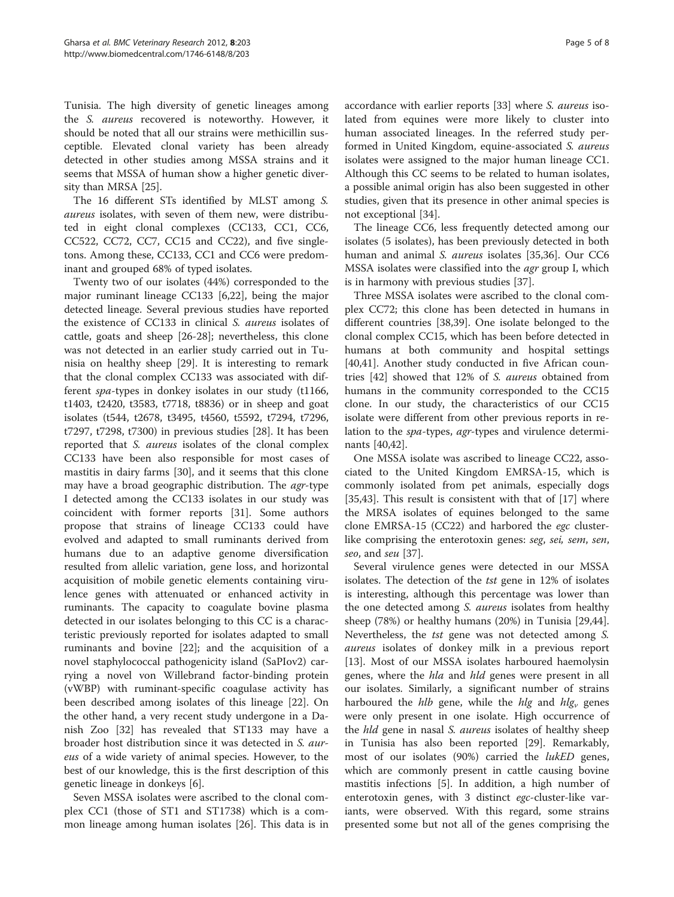Tunisia. The high diversity of genetic lineages among the S. aureus recovered is noteworthy. However, it should be noted that all our strains were methicillin susceptible. Elevated clonal variety has been already detected in other studies among MSSA strains and it seems that MSSA of human show a higher genetic diversity than MRSA [\[25\]](#page-6-0).

The 16 different STs identified by MLST among S. aureus isolates, with seven of them new, were distributed in eight clonal complexes (CC133, CC1, CC6, CC522, CC72, CC7, CC15 and CC22), and five singletons. Among these, CC133, CC1 and CC6 were predominant and grouped 68% of typed isolates.

Twenty two of our isolates (44%) corresponded to the major ruminant lineage CC133 [\[6](#page-5-0)[,22](#page-6-0)], being the major detected lineage. Several previous studies have reported the existence of CC133 in clinical S. aureus isolates of cattle, goats and sheep [\[26](#page-6-0)-[28\]](#page-6-0); nevertheless, this clone was not detected in an earlier study carried out in Tunisia on healthy sheep [[29](#page-6-0)]. It is interesting to remark that the clonal complex CC133 was associated with different spa-types in donkey isolates in our study (t1166, t1403, t2420, t3583, t7718, t8836) or in sheep and goat isolates (t544, t2678, t3495, t4560, t5592, t7294, t7296, t7297, t7298, t7300) in previous studies [\[28](#page-6-0)]. It has been reported that S. aureus isolates of the clonal complex CC133 have been also responsible for most cases of mastitis in dairy farms [[30](#page-6-0)], and it seems that this clone may have a broad geographic distribution. The agr-type I detected among the CC133 isolates in our study was coincident with former reports [\[31\]](#page-6-0). Some authors propose that strains of lineage CC133 could have evolved and adapted to small ruminants derived from humans due to an adaptive genome diversification resulted from allelic variation, gene loss, and horizontal acquisition of mobile genetic elements containing virulence genes with attenuated or enhanced activity in ruminants. The capacity to coagulate bovine plasma detected in our isolates belonging to this CC is a characteristic previously reported for isolates adapted to small ruminants and bovine [[22](#page-6-0)]; and the acquisition of a novel staphylococcal pathogenicity island (SaPIov2) carrying a novel von Willebrand factor-binding protein (vWBP) with ruminant-specific coagulase activity has been described among isolates of this lineage [[22\]](#page-6-0). On the other hand, a very recent study undergone in a Danish Zoo [[32](#page-6-0)] has revealed that ST133 may have a broader host distribution since it was detected in S. aureus of a wide variety of animal species. However, to the best of our knowledge, this is the first description of this genetic lineage in donkeys [\[6](#page-5-0)].

Seven MSSA isolates were ascribed to the clonal complex CC1 (those of ST1 and ST1738) which is a common lineage among human isolates [\[26](#page-6-0)]. This data is in

accordance with earlier reports [\[33\]](#page-6-0) where S. aureus isolated from equines were more likely to cluster into human associated lineages. In the referred study performed in United Kingdom, equine-associated S. aureus isolates were assigned to the major human lineage CC1. Although this CC seems to be related to human isolates, a possible animal origin has also been suggested in other studies, given that its presence in other animal species is not exceptional [[34\]](#page-6-0).

The lineage CC6, less frequently detected among our isolates (5 isolates), has been previously detected in both human and animal S. aureus isolates [\[35,36\]](#page-6-0). Our CC6 MSSA isolates were classified into the agr group I, which is in harmony with previous studies [\[37\]](#page-6-0).

Three MSSA isolates were ascribed to the clonal complex CC72; this clone has been detected in humans in different countries [[38,39\]](#page-6-0). One isolate belonged to the clonal complex CC15, which has been before detected in humans at both community and hospital settings [[40,41\]](#page-6-0). Another study conducted in five African countries [[42\]](#page-6-0) showed that 12% of S. aureus obtained from humans in the community corresponded to the CC15 clone. In our study, the characteristics of our CC15 isolate were different from other previous reports in relation to the spa-types, agr-types and virulence determinants [\[40,42\]](#page-6-0).

One MSSA isolate was ascribed to lineage CC22, associated to the United Kingdom EMRSA-15, which is commonly isolated from pet animals, especially dogs [[35,43\]](#page-6-0). This result is consistent with that of [\[17](#page-6-0)] where the MRSA isolates of equines belonged to the same clone EMRSA-15 (CC22) and harbored the egc clusterlike comprising the enterotoxin genes: seg, sei, sem, sen, seo, and seu [\[37\]](#page-6-0).

Several virulence genes were detected in our MSSA isolates. The detection of the tst gene in 12% of isolates is interesting, although this percentage was lower than the one detected among S. aureus isolates from healthy sheep (78%) or healthy humans (20%) in Tunisia [\[29,44](#page-6-0)]. Nevertheless, the tst gene was not detected among S. aureus isolates of donkey milk in a previous report [[13\]](#page-6-0). Most of our MSSA isolates harboured haemolysin genes, where the *hla* and *hld* genes were present in all our isolates. Similarly, a significant number of strains harboured the *hlb* gene, while the *hlg* and  $hlg_v$  genes were only present in one isolate. High occurrence of the *hld* gene in nasal S. aureus isolates of healthy sheep in Tunisia has also been reported [\[29\]](#page-6-0). Remarkably, most of our isolates (90%) carried the lukED genes, which are commonly present in cattle causing bovine mastitis infections [[5\]](#page-5-0). In addition, a high number of enterotoxin genes, with 3 distinct egc-cluster-like variants, were observed. With this regard, some strains presented some but not all of the genes comprising the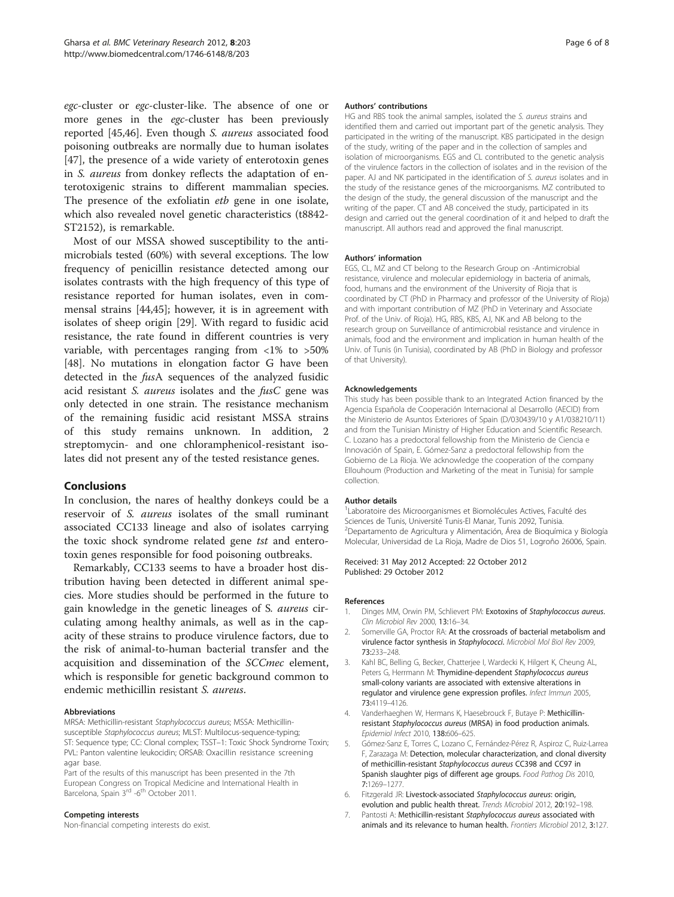<span id="page-5-0"></span>egc-cluster or egc-cluster-like. The absence of one or more genes in the egc-cluster has been previously reported [\[45,46](#page-7-0)]. Even though S. aureus associated food poisoning outbreaks are normally due to human isolates [[47\]](#page-7-0), the presence of a wide variety of enterotoxin genes in S. aureus from donkey reflects the adaptation of enterotoxigenic strains to different mammalian species. The presence of the exfoliatin *etb* gene in one isolate, which also revealed novel genetic characteristics (t8842- ST2152), is remarkable.

Most of our MSSA showed susceptibility to the antimicrobials tested (60%) with several exceptions. The low frequency of penicillin resistance detected among our isolates contrasts with the high frequency of this type of resistance reported for human isolates, even in commensal strains [\[44](#page-6-0)[,45](#page-7-0)]; however, it is in agreement with isolates of sheep origin [\[29\]](#page-6-0). With regard to fusidic acid resistance, the rate found in different countries is very variable, with percentages ranging from <1% to >50% [[48\]](#page-7-0). No mutations in elongation factor G have been detected in the fusA sequences of the analyzed fusidic acid resistant S. aureus isolates and the fusC gene was only detected in one strain. The resistance mechanism of the remaining fusidic acid resistant MSSA strains of this study remains unknown. In addition, 2 streptomycin- and one chloramphenicol-resistant isolates did not present any of the tested resistance genes.

## Conclusions

In conclusion, the nares of healthy donkeys could be a reservoir of S. aureus isolates of the small ruminant associated CC133 lineage and also of isolates carrying the toxic shock syndrome related gene tst and enterotoxin genes responsible for food poisoning outbreaks.

Remarkably, CC133 seems to have a broader host distribution having been detected in different animal species. More studies should be performed in the future to gain knowledge in the genetic lineages of S. aureus circulating among healthy animals, as well as in the capacity of these strains to produce virulence factors, due to the risk of animal-to-human bacterial transfer and the acquisition and dissemination of the SCCmec element, which is responsible for genetic background common to endemic methicillin resistant S. aureus.

#### Abbreviations

MRSA: Methicillin-resistant Staphylococcus aureus; MSSA: Methicillinsusceptible Staphylococcus aureus; MLST: Multilocus-sequence-typing; ST: Sequence type; CC: Clonal complex; TSST–1: Toxic Shock Syndrome Toxin; PVL: Panton valentine leukocidin; ORSAB: Oxacillin resistance screening agar base.

Part of the results of this manuscript has been presented in the 7th European Congress on Tropical Medicine and International Health in Barcelona, Spain 3<sup>rd</sup> -6<sup>th</sup> October 2011.

#### Competing interests

Non-financial competing interests do exist.

#### Authors' contributions

HG and RBS took the animal samples, isolated the S. aureus strains and identified them and carried out important part of the genetic analysis. They participated in the writing of the manuscript. KBS participated in the design of the study, writing of the paper and in the collection of samples and isolation of microorganisms. EGS and CL contributed to the genetic analysis of the virulence factors in the collection of isolates and in the revision of the paper. AJ and NK participated in the identification of S. aureus isolates and in the study of the resistance genes of the microorganisms. MZ contributed to the design of the study, the general discussion of the manuscript and the writing of the paper. CT and AB conceived the study, participated in its design and carried out the general coordination of it and helped to draft the manuscript. All authors read and approved the final manuscript.

#### Authors' information

EGS, CL, MZ and CT belong to the Research Group on -Antimicrobial resistance, virulence and molecular epidemiology in bacteria of animals, food, humans and the environment of the University of Rioja that is coordinated by CT (PhD in Pharmacy and professor of the University of Rioja) and with important contribution of MZ (PhD in Veterinary and Associate Prof. of the Univ. of Rioja). HG, RBS, KBS, AJ, NK and AB belong to the research group on Surveillance of antimicrobial resistance and virulence in animals, food and the environment and implication in human health of the Univ. of Tunis (in Tunisia), coordinated by AB (PhD in Biology and professor of that University).

#### Acknowledgements

This study has been possible thank to an Integrated Action financed by the Agencia Española de Cooperación Internacional al Desarrollo (AECID) from the Ministerio de Asuntos Exteriores of Spain (D/030439/10 y A1/038210/11) and from the Tunisian Ministry of Higher Education and Scientific Research. C. Lozano has a predoctoral fellowship from the Ministerio de Ciencia e Innovación of Spain, E. Gómez-Sanz a predoctoral fellowship from the Gobierno de La Rioja. We acknowledge the cooperation of the company Ellouhoum (Production and Marketing of the meat in Tunisia) for sample collection.

#### Author details

<sup>1</sup> Laboratoire des Microorganismes et Biomolécules Actives, Faculté des Sciences de Tunis, Université Tunis-El Manar, Tunis 2092, Tunisia. 2 Departamento de Agricultura y Alimentación, Área de Bioquímica y Biología Molecular, Universidad de La Rioja, Madre de Dios 51, Logroño 26006, Spain.

Received: 31 May 2012 Accepted: 22 October 2012 Published: 29 October 2012

#### References

- 1. Dinges MM, Orwin PM, Schlievert PM: Exotoxins of Staphylococcus aureus. Clin Microbiol Rev 2000, 13:16–34.
- 2. Somerville GA, Proctor RA: At the crossroads of bacterial metabolism and virulence factor synthesis in Staphylococci. Microbiol Mol Biol Rev 2009, 73:233–248.
- Kahl BC, Belling G, Becker, Chatterjee I, Wardecki K, Hilgert K, Cheung AL, Peters G, Herrmann M: Thymidine-dependent Staphylococcus aureus small-colony variants are associated with extensive alterations in regulator and virulence gene expression profiles. Infect Immun 2005, 73:4119–4126.
- 4. Vanderhaeghen W, Hermans K, Haesebrouck F, Butaye P: Methicillinresistant Staphylococcus aureus (MRSA) in food production animals. Epidemiol Infect 2010, 138:606–625.
- 5. Gómez-Sanz E, Torres C, Lozano C, Fernández-Pérez R, Aspiroz C, Ruiz-Larrea F, Zarazaga M: Detection, molecular characterization, and clonal diversity of methicillin-resistant Staphylococcus aureus CC398 and CC97 in Spanish slaughter pigs of different age groups. Food Pathog Dis 2010, 7:1269–1277.
- 6. Fitzgerald JR: Livestock-associated Staphylococcus aureus: origin, evolution and public health threat. Trends Microbiol 2012, 20:192–198.
- 7. Pantosti A: Methicillin-resistant Staphylococcus aureus associated with animals and its relevance to human health. Frontiers Microbiol 2012, 3:127.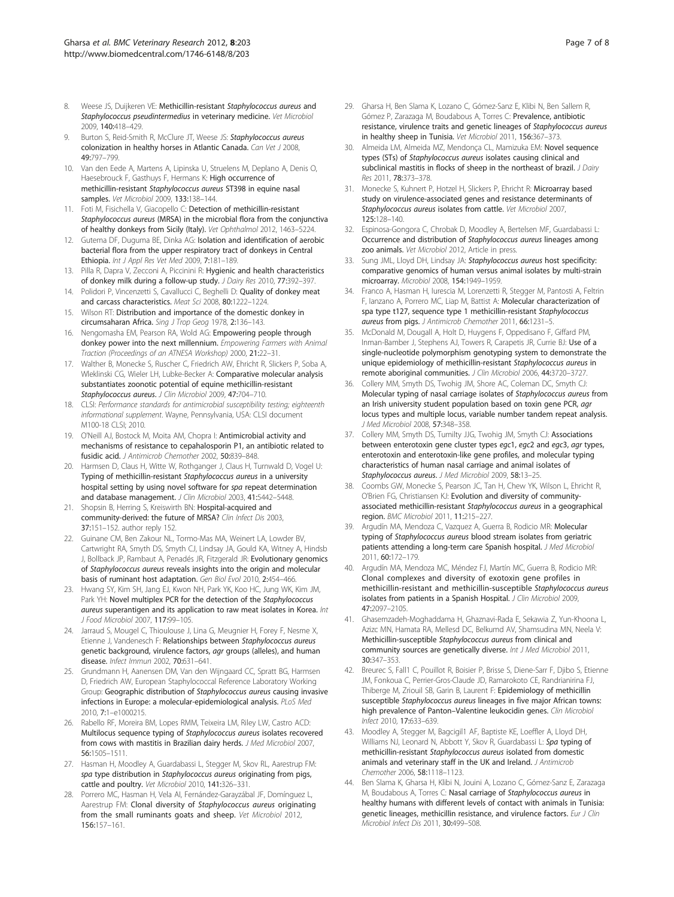- <span id="page-6-0"></span>8. Weese JS, Duijkeren VE: Methicillin-resistant Staphylococcus aureus and Staphylococcus pseudintermedius in veterinary medicine. Vet Microbiol 2009, 140:418–429.
- Burton S, Reid-Smith R, McClure JT, Weese JS: Staphylococcus aureus colonization in healthy horses in Atlantic Canada. Can Vet J 2008, 49:797–799.
- 10. Van den Eede A, Martens A, Lipinska U, Struelens M, Deplano A, Denis O, Haesebrouck F, Gasthuys F, Hermans K: High occurrence of methicillin-resistant Staphylococcus aureus ST398 in equine nasal samples. Vet Microbiol 2009, 133:138–144.
- 11. Foti M, Fisichella V, Giacopello C: Detection of methicillin-resistant Staphylococcus aureus (MRSA) in the microbial flora from the conjunctiva of healthy donkeys from Sicily (Italy). Vet Ophthalmol 2012, 1463–5224.
- 12. Gutema DF, Duguma BE, Dinka AG: Isolation and identification of aerobic bacterial flora from the upper respiratory tract of donkeys in Central Ethiopia. Int J Appl Res Vet Med 2009, 7:181–189.
- 13. Pilla R, Dapra V, Zecconi A, Piccinini R: Hygienic and health characteristics of donkey milk during a follow-up study. J Dairy Res 2010, 77:392–397.
- 14. Polidori P, Vincenzetti S, Cavallucci C, Beghelli D: Quality of donkey meat and carcass characteristics. Meat Sci 2008, 80:1222–1224.
- 15. Wilson RT: Distribution and importance of the domestic donkey in circumsaharan Africa. Sing J Trop Geog 1978, 2:136–143.
- 16. Nengomasha EM, Pearson RA, Wold AG: Empowering people through donkey power into the next millennium. Empowering Farmers with Animal Traction (Proceedings of an ATNESA Workshop) 2000, 21:22–31.
- 17. Walther B, Monecke S, Ruscher C, Friedrich AW, Ehricht R, Slickers P, Soba A, Wleklinski CG, Wieler LH, Lubke-Becker A: Comparative molecular analysis substantiates zoonotic potential of equine methicillin-resistant Staphylococcus aureus. J Clin Microbiol 2009, 47:704-710.
- 18. CLSI: Performance standards for antimicrobial susceptibility testing; eighteenth informational supplement. Wayne, Pennsylvania, USA: CLSI document M100-18 CLSI; 2010.
- 19. O'Neill AJ, Bostock M, Moita AM, Chopra I: Antimicrobial activity and mechanisms of resistance to cepahalosporin P1, an antibiotic related to fusidic acid. J Antimicrob Chemother 2002, 50:839–848.
- 20. Harmsen D, Claus H, Witte W, Rothganger J, Claus H, Turnwald D, Vogel U: Typing of methicillin-resistant Staphylococcus aureus in a university hospital setting by using novel software for spa repeat determination and database management. J Clin Microbiol 2003, 41:5442-5448.
- 21. Shopsin B, Herring S, Kreiswirth BN: Hospital-acquired and community-derived: the future of MRSA? Clin Infect Dis 2003, 37:151–152. author reply 152.
- 22. Guinane CM, Ben Zakour NL, Tormo-Mas MA, Weinert LA, Lowder BV, Cartwright RA, Smyth DS, Smyth CJ, Lindsay JA, Gould KA, Witney A, Hindsb J, Bollback JP, Rambaut A, Penadés JR, Fitzgerald JR: Evolutionary genomics of Staphylococcus aureus reveals insights into the origin and molecular basis of ruminant host adaptation. Gen Biol Evol 2010, 2:454–466.
- 23. Hwang SY, Kim SH, Jang EJ, Kwon NH, Park YK, Koo HC, Jung WK, Kim JM, Park YH: Novel multiplex PCR for the detection of the Staphylococcus aureus superantigen and its application to raw meat isolates in Korea. Int J Food Microbiol 2007, 117:99–105.
- 24. Jarraud S, Mougel C, Thioulouse J, Lina G, Meugnier H, Forey F, Nesme X, Etienne J, Vandenesch F: Relationships between Staphylococcus aureus genetic background, virulence factors, agr groups (alleles), and human disease. Infect Immun 2002, 70:631–641.
- 25. Grundmann H, Aanensen DM, Van den Wijngaard CC, Spratt BG, Harmsen D, Friedrich AW, European Staphylococcal Reference Laboratory Working Group: Geographic distribution of Staphylococcus aureus causing invasive infections in Europe: a molecular-epidemiological analysis. PLoS Med 2010, 7:1–e1000215.
- 26. Rabello RF, Moreira BM, Lopes RMM, Teixeira LM, Riley LW, Castro ACD: Multilocus sequence typing of Staphylococcus aureus isolates recovered from cows with mastitis in Brazilian dairy herds. J Med Microbiol 2007, 56:1505–1511.
- 27. Hasman H, Moodley A, Guardabassi L, Stegger M, Skov RL, Aarestrup FM: spa type distribution in Staphylococcus aureus originating from pigs, cattle and poultry. Vet Microbiol 2010, 141:326–331.
- 28. Porrero MC, Hasman H, Vela AI, Fernández-Garayzábal JF, Domínguez L, Aarestrup FM: Clonal diversity of Staphylococcus aureus originating from the small ruminants goats and sheep. Vet Microbiol 2012, 156:157–161.
- 29. Gharsa H, Ben Slama K, Lozano C, Gómez-Sanz E, Klibi N, Ben Sallem R, Gómez P, Zarazaga M, Boudabous A, Torres C: Prevalence, antibiotic resistance, virulence traits and genetic lineages of Staphylococcus aureus in healthy sheep in Tunisia. Vet Microbiol 2011, 156:367–373.
- 30. Almeida LM, Almeida MZ, Mendonça CL, Mamizuka EM: Novel sequence types (STs) of Staphylococcus aureus isolates causing clinical and subclinical mastitis in flocks of sheep in the northeast of brazil. J Dairy Res 2011, 78:373-378.
- 31. Monecke S, Kuhnert P, Hotzel H, Slickers P, Ehricht R: Microarray based study on virulence-associated genes and resistance determinants of Staphylococcus aureus isolates from cattle. Vet Microbiol 2007, 125:128–140.
- 32. Espinosa-Gongora C, Chrobak D, Moodley A, Bertelsen MF, Guardabassi L: Occurrence and distribution of Staphylococcus aureus lineages among zoo animals. Vet Microbiol 2012, Article in press.
- 33. Sung JML, Lloyd DH, Lindsay JA: Staphylococcus aureus host specificity: comparative genomics of human versus animal isolates by multi-strain microarray. Microbiol 2008, 154:1949–1959.
- 34. Franco A, Hasman H, Iurescia M, Lorenzetti R, Stegger M, Pantosti A, Feltrin F, Ianzano A, Porrero MC, Liap M, Battist A: Molecular characterization of spa type t127, sequence type 1 methicillin-resistant Staphylococcus aureus from pigs. J Antimicrob Chemother 2011, 66:1231–5.
- 35. McDonald M, Dougall A, Holt D, Huygens F, Oppedisano F, Giffard PM, Inman-Bamber J, Stephens AJ, Towers R, Carapetis JR, Currie BJ: Use of a single-nucleotide polymorphism genotyping system to demonstrate the unique epidemiology of methicillin-resistant Staphylococcus aureus in remote aboriginal communities. J Clin Microbiol 2006, 44:3720–3727.
- 36. Collery MM, Smyth DS, Twohig JM, Shore AC, Coleman DC, Smyth CJ: Molecular typing of nasal carriage isolates of Staphylococcus aureus from an Irish university student population based on toxin gene PCR, agr locus types and multiple locus, variable number tandem repeat analysis. J Med Microbiol 2008, 57:348–358.
- 37. Collery MM, Smyth DS, Tumilty JJG, Twohig JM, Smyth CJ: Associations between enterotoxin gene cluster types egc1, egc2 and egc3, agr types, enterotoxin and enterotoxin-like gene profiles, and molecular typing characteristics of human nasal carriage and animal isolates of Staphylococcus aureus. J Med Microbiol 2009, 58:13-25.
- 38. Coombs GW, Monecke S, Pearson JC, Tan H, Chew YK, Wilson L, Ehricht R, O'Brien FG, Christiansen KJ: Evolution and diversity of communityassociated methicillin-resistant Staphylococcus aureus in a geographical region. BMC Microbiol 2011, 11:215–227.
- Argudín MA, Mendoza C, Vazquez A, Guerra B, Rodicio MR: Molecular typing of Staphylococcus aureus blood stream isolates from geriatric patients attending a long-term care Spanish hospital. J Med Microbiol 2011, 60:172–179.
- 40. Argudín MA, Mendoza MC, Méndez FJ, Martín MC, Guerra B, Rodicio MR: Clonal complexes and diversity of exotoxin gene profiles in methicillin-resistant and methicillin-susceptible Staphylococcus aureus isolates from patients in a Spanish Hospital. J Clin Microbiol 2009, 47:2097–2105.
- 41. Ghasemzadeh-Moghaddama H, Ghaznavi-Rada E, Sekawia Z, Yun-Khoona L, Azizc MN, Hamata RA, Mellesd DC, Belkumd AV, Shamsudina MN, Neela V: Methicillin-susceptible Staphylococcus aureus from clinical and community sources are genetically diverse. Int J Med Microbiol 2011, 30:347–353.
- 42. Breurec S, Fall1 C, Pouillot R, Boisier P, Brisse S, Diene-Sarr F, Djibo S, Etienne JM, Fonkoua C, Perrier-Gros-Claude JD, Ramarokoto CE, Randrianirina FJ, Thiberge M, Zriouil SB, Garin B, Laurent F: Epidemiology of methicillin susceptible Staphylococcus aureus lineages in five major African towns: high prevalence of Panton-Valentine leukocidin genes. Clin Microbiol Infect 2010, 17:633–639.
- 43. Moodley A, Stegger M, Bagcigil1 AF, Baptiste KE, Loeffler A, Lloyd DH, Williams NJ, Leonard N, Abbott Y, Skov R, Guardabassi L: Spa typing of methicillin-resistant Staphylococcus aureus isolated from domestic animals and veterinary staff in the UK and Ireland. J Antimicrob Chemother 2006, 58:1118–1123.
- 44. Ben Slama K, Gharsa H, Klibi N, Jouini A, Lozano C, Gómez-Sanz E, Zarazaga M, Boudabous A, Torres C: Nasal carriage of Staphylococcus aureus in healthy humans with different levels of contact with animals in Tunisia: genetic lineages, methicillin resistance, and virulence factors. Eur J Clin Microbiol Infect Dis 2011, 30:499–508.